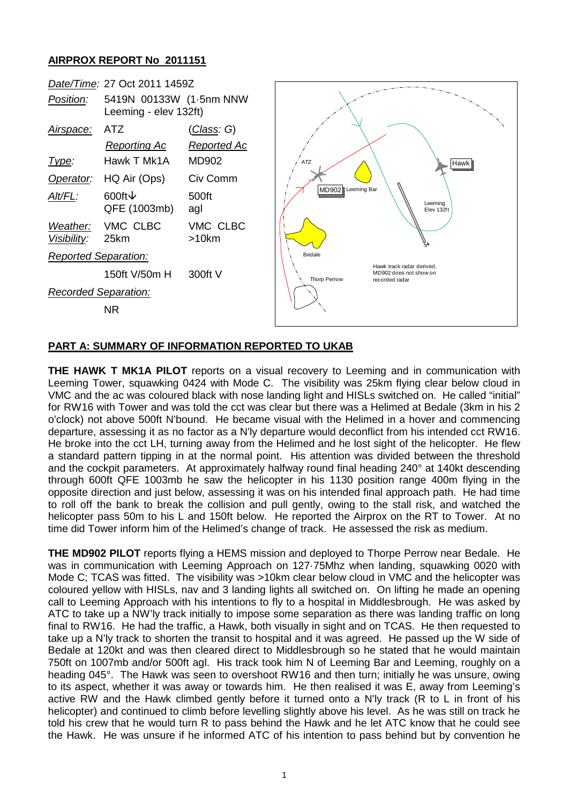## **AIRPROX REPORT No 2011151**



## **PART A: SUMMARY OF INFORMATION REPORTED TO UKAB**

**THE HAWK T MK1A PILOT** reports on a visual recovery to Leeming and in communication with Leeming Tower, squawking 0424 with Mode C. The visibility was 25km flying clear below cloud in VMC and the ac was coloured black with nose landing light and HISLs switched on. He called "initial" for RW16 with Tower and was told the cct was clear but there was a Helimed at Bedale (3km in his 2 o'clock) not above 500ft N'bound. He became visual with the Helimed in a hover and commencing departure, assessing it as no factor as a N'ly departure would deconflict from his intended cct RW16. He broke into the cct LH, turning away from the Helimed and he lost sight of the helicopter. He flew a standard pattern tipping in at the normal point. His attention was divided between the threshold and the cockpit parameters. At approximately halfway round final heading 240° at 140kt descending through 600ft QFE 1003mb he saw the helicopter in his 1130 position range 400m flying in the opposite direction and just below, assessing it was on his intended final approach path. He had time to roll off the bank to break the collision and pull gently, owing to the stall risk, and watched the helicopter pass 50m to his L and 150ft below. He reported the Airprox on the RT to Tower. At no time did Tower inform him of the Helimed's change of track. He assessed the risk as medium.

**THE MD902 PILOT** reports flying a HEMS mission and deployed to Thorpe Perrow near Bedale. He was in communication with Leeming Approach on 127·75Mhz when landing, squawking 0020 with Mode C; TCAS was fitted. The visibility was >10km clear below cloud in VMC and the helicopter was coloured yellow with HISLs, nav and 3 landing lights all switched on. On lifting he made an opening call to Leeming Approach with his intentions to fly to a hospital in Middlesbrough. He was asked by ATC to take up a NW'ly track initially to impose some separation as there was landing traffic on long final to RW16. He had the traffic, a Hawk, both visually in sight and on TCAS. He then requested to take up a N'ly track to shorten the transit to hospital and it was agreed. He passed up the W side of Bedale at 120kt and was then cleared direct to Middlesbrough so he stated that he would maintain 750ft on 1007mb and/or 500ft agl. His track took him N of Leeming Bar and Leeming, roughly on a heading 045°. The Hawk was seen to overshoot RW16 and then turn; initially he was unsure, owing to its aspect, whether it was away or towards him. He then realised it was E, away from Leeming's active RW and the Hawk climbed gently before it turned onto a N'ly track (R to L in front of his helicopter) and continued to climb before levelling slightly above his level. As he was still on track he told his crew that he would turn R to pass behind the Hawk and he let ATC know that he could see the Hawk. He was unsure if he informed ATC of his intention to pass behind but by convention he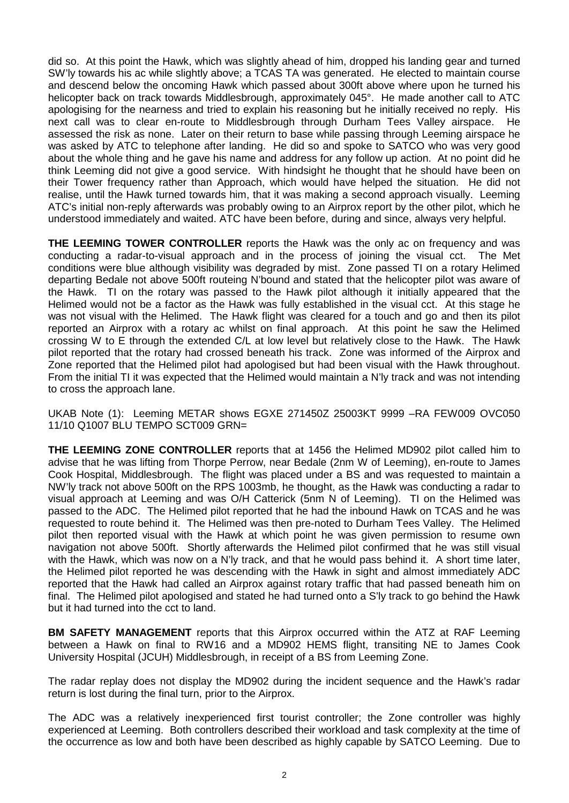did so. At this point the Hawk, which was slightly ahead of him, dropped his landing gear and turned SW'ly towards his ac while slightly above; a TCAS TA was generated. He elected to maintain course and descend below the oncoming Hawk which passed about 300ft above where upon he turned his helicopter back on track towards Middlesbrough, approximately 045°. He made another call to ATC apologising for the nearness and tried to explain his reasoning but he initially received no reply. His next call was to clear en-route to Middlesbrough through Durham Tees Valley airspace. He assessed the risk as none. Later on their return to base while passing through Leeming airspace he was asked by ATC to telephone after landing. He did so and spoke to SATCO who was very good about the whole thing and he gave his name and address for any follow up action. At no point did he think Leeming did not give a good service. With hindsight he thought that he should have been on their Tower frequency rather than Approach, which would have helped the situation. He did not realise, until the Hawk turned towards him, that it was making a second approach visually. Leeming ATC's initial non-reply afterwards was probably owing to an Airprox report by the other pilot, which he understood immediately and waited. ATC have been before, during and since, always very helpful.

**THE LEEMING TOWER CONTROLLER** reports the Hawk was the only ac on frequency and was conducting a radar-to-visual approach and in the process of joining the visual cct. The Met conditions were blue although visibility was degraded by mist. Zone passed TI on a rotary Helimed departing Bedale not above 500ft routeing N'bound and stated that the helicopter pilot was aware of the Hawk. TI on the rotary was passed to the Hawk pilot although it initially appeared that the Helimed would not be a factor as the Hawk was fully established in the visual cct. At this stage he was not visual with the Helimed. The Hawk flight was cleared for a touch and go and then its pilot reported an Airprox with a rotary ac whilst on final approach. At this point he saw the Helimed crossing W to E through the extended C/L at low level but relatively close to the Hawk. The Hawk pilot reported that the rotary had crossed beneath his track. Zone was informed of the Airprox and Zone reported that the Helimed pilot had apologised but had been visual with the Hawk throughout. From the initial TI it was expected that the Helimed would maintain a N'ly track and was not intending to cross the approach lane.

UKAB Note (1): Leeming METAR shows EGXE 271450Z 25003KT 9999 –RA FEW009 OVC050 11/10 Q1007 BLU TEMPO SCT009 GRN=

**THE LEEMING ZONE CONTROLLER** reports that at 1456 the Helimed MD902 pilot called him to advise that he was lifting from Thorpe Perrow, near Bedale (2nm W of Leeming), en-route to James Cook Hospital, Middlesbrough. The flight was placed under a BS and was requested to maintain a NW'ly track not above 500ft on the RPS 1003mb, he thought, as the Hawk was conducting a radar to visual approach at Leeming and was O/H Catterick (5nm N of Leeming). TI on the Helimed was passed to the ADC. The Helimed pilot reported that he had the inbound Hawk on TCAS and he was requested to route behind it. The Helimed was then pre-noted to Durham Tees Valley. The Helimed pilot then reported visual with the Hawk at which point he was given permission to resume own navigation not above 500ft. Shortly afterwards the Helimed pilot confirmed that he was still visual with the Hawk, which was now on a N'ly track, and that he would pass behind it. A short time later, the Helimed pilot reported he was descending with the Hawk in sight and almost immediately ADC reported that the Hawk had called an Airprox against rotary traffic that had passed beneath him on final. The Helimed pilot apologised and stated he had turned onto a S'ly track to go behind the Hawk but it had turned into the cct to land.

**BM SAFETY MANAGEMENT** reports that this Airprox occurred within the ATZ at RAF Leeming between a Hawk on final to RW16 and a MD902 HEMS flight, transiting NE to James Cook University Hospital (JCUH) Middlesbrough, in receipt of a BS from Leeming Zone.

The radar replay does not display the MD902 during the incident sequence and the Hawk's radar return is lost during the final turn, prior to the Airprox.

The ADC was a relatively inexperienced first tourist controller; the Zone controller was highly experienced at Leeming. Both controllers described their workload and task complexity at the time of the occurrence as low and both have been described as highly capable by SATCO Leeming. Due to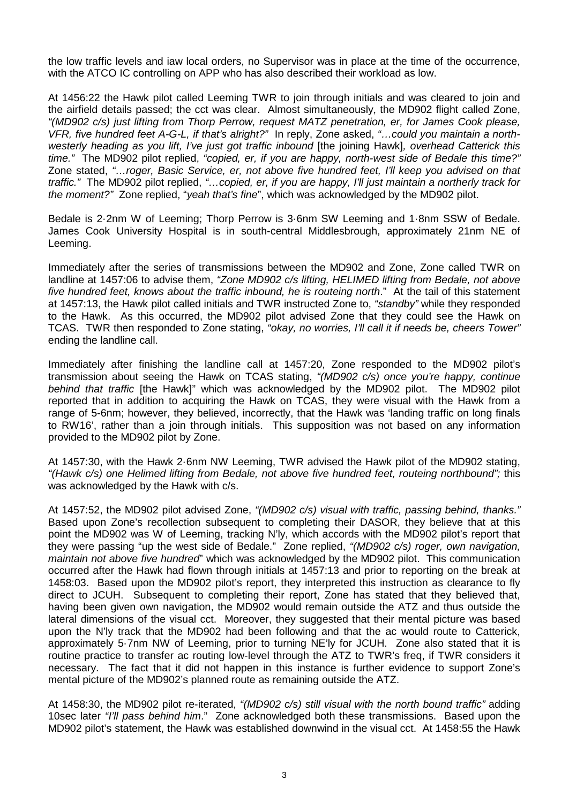the low traffic levels and iaw local orders, no Supervisor was in place at the time of the occurrence, with the ATCO IC controlling on APP who has also described their workload as low.

At 1456:22 the Hawk pilot called Leeming TWR to join through initials and was cleared to join and the airfield details passed; the cct was clear. Almost simultaneously, the MD902 flight called Zone, *"(MD902 c/s) just lifting from Thorp Perrow, request MATZ penetration, er, for James Cook please, VFR, five hundred feet A-G-L, if that's alright?"* In reply, Zone asked, *"…could you maintain a northwesterly heading as you lift, I've just got traffic inbound* [the joining Hawk]*, overhead Catterick this time."* The MD902 pilot replied, *"copied, er, if you are happy, north-west side of Bedale this time?"* Zone stated, *"…roger, Basic Service, er, not above five hundred feet, I'll keep you advised on that traffic."* The MD902 pilot replied, *"…copied, er, if you are happy, I'll just maintain a northerly track for the moment?"* Zone replied, "*yeah that's fine*", which was acknowledged by the MD902 pilot.

Bedale is 2·2nm W of Leeming; Thorp Perrow is 3·6nm SW Leeming and 1·8nm SSW of Bedale. James Cook University Hospital is in south-central Middlesbrough, approximately 21nm NE of Leeming.

Immediately after the series of transmissions between the MD902 and Zone, Zone called TWR on landline at 1457:06 to advise them, *"Zone MD902 c/s lifting, HELIMED lifting from Bedale, not above five hundred feet, knows about the traffic inbound, he is routeing north*." At the tail of this statement at 1457:13, the Hawk pilot called initials and TWR instructed Zone to, *"standby"* while they responded to the Hawk. As this occurred, the MD902 pilot advised Zone that they could see the Hawk on TCAS. TWR then responded to Zone stating, *"okay, no worries, I'll call it if needs be, cheers Tower"* ending the landline call.

Immediately after finishing the landline call at 1457:20, Zone responded to the MD902 pilot's transmission about seeing the Hawk on TCAS stating, *"(MD902 c/s) once you're happy, continue behind that traffic* [the Hawk]" which was acknowledged by the MD902 pilot. The MD902 pilot reported that in addition to acquiring the Hawk on TCAS, they were visual with the Hawk from a range of 5-6nm; however, they believed, incorrectly, that the Hawk was 'landing traffic on long finals to RW16', rather than a join through initials. This supposition was not based on any information provided to the MD902 pilot by Zone.

At 1457:30, with the Hawk 2·6nm NW Leeming, TWR advised the Hawk pilot of the MD902 stating, *"(Hawk c/s) one Helimed lifting from Bedale, not above five hundred feet, routeing northbound";* this was acknowledged by the Hawk with c/s.

At 1457:52, the MD902 pilot advised Zone, *"(MD902 c/s) visual with traffic, passing behind, thanks."* Based upon Zone's recollection subsequent to completing their DASOR, they believe that at this point the MD902 was W of Leeming, tracking N'ly, which accords with the MD902 pilot's report that they were passing "up the west side of Bedale." Zone replied, *"(MD902 c/s) roger, own navigation, maintain not above five hundred*" which was acknowledged by the MD902 pilot. This communication occurred after the Hawk had flown through initials at 1457:13 and prior to reporting on the break at 1458:03. Based upon the MD902 pilot's report, they interpreted this instruction as clearance to fly direct to JCUH. Subsequent to completing their report, Zone has stated that they believed that, having been given own navigation, the MD902 would remain outside the ATZ and thus outside the lateral dimensions of the visual cct. Moreover, they suggested that their mental picture was based upon the N'ly track that the MD902 had been following and that the ac would route to Catterick, approximately 5·7nm NW of Leeming, prior to turning NE'ly for JCUH. Zone also stated that it is routine practice to transfer ac routing low-level through the ATZ to TWR's freq, if TWR considers it necessary. The fact that it did not happen in this instance is further evidence to support Zone's mental picture of the MD902's planned route as remaining outside the ATZ.

At 1458:30, the MD902 pilot re-iterated, *"(MD902 c/s) still visual with the north bound traffic"* adding 10sec later *"I'll pass behind him*." Zone acknowledged both these transmissions. Based upon the MD902 pilot's statement, the Hawk was established downwind in the visual cct. At 1458:55 the Hawk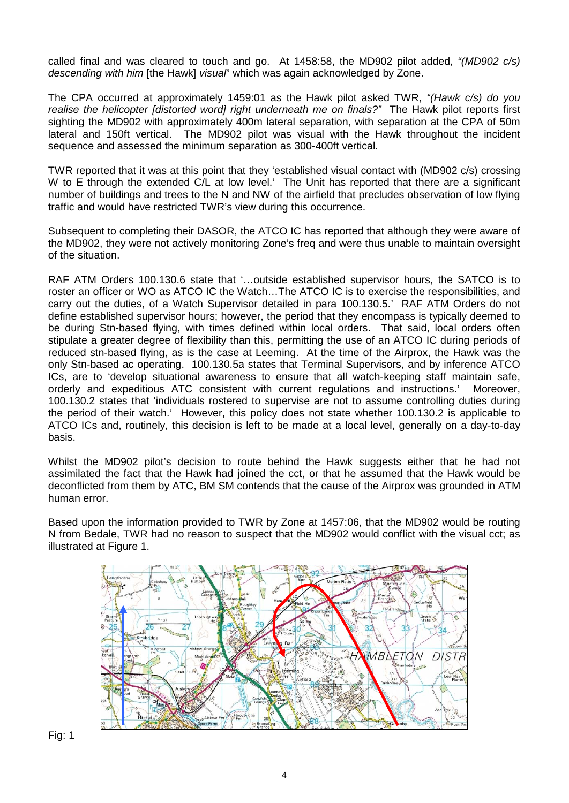called final and was cleared to touch and go. At 1458:58, the MD902 pilot added, *"(MD902 c/s) descending with him* [the Hawk] *visual*" which was again acknowledged by Zone.

The CPA occurred at approximately 1459:01 as the Hawk pilot asked TWR, *"(Hawk c/s) do you realise the helicopter [distorted word] right underneath me on finals?"* The Hawk pilot reports first sighting the MD902 with approximately 400m lateral separation, with separation at the CPA of 50m lateral and 150ft vertical. The MD902 pilot was visual with the Hawk throughout the incident sequence and assessed the minimum separation as 300-400ft vertical.

TWR reported that it was at this point that they 'established visual contact with (MD902 c/s) crossing W to E through the extended C/L at low level.' The Unit has reported that there are a significant number of buildings and trees to the N and NW of the airfield that precludes observation of low flying traffic and would have restricted TWR's view during this occurrence.

Subsequent to completing their DASOR, the ATCO IC has reported that although they were aware of the MD902, they were not actively monitoring Zone's freq and were thus unable to maintain oversight of the situation.

RAF ATM Orders 100.130.6 state that '…outside established supervisor hours, the SATCO is to roster an officer or WO as ATCO IC the Watch…The ATCO IC is to exercise the responsibilities, and carry out the duties, of a Watch Supervisor detailed in para 100.130.5.' RAF ATM Orders do not define established supervisor hours; however, the period that they encompass is typically deemed to be during Stn-based flying, with times defined within local orders. That said, local orders often stipulate a greater degree of flexibility than this, permitting the use of an ATCO IC during periods of reduced stn-based flying, as is the case at Leeming. At the time of the Airprox, the Hawk was the only Stn-based ac operating. 100.130.5a states that Terminal Supervisors, and by inference ATCO ICs, are to 'develop situational awareness to ensure that all watch-keeping staff maintain safe, orderly and expeditious ATC consistent with current regulations and instructions.' Moreover, 100.130.2 states that 'individuals rostered to supervise are not to assume controlling duties during the period of their watch.' However, this policy does not state whether 100.130.2 is applicable to ATCO ICs and, routinely, this decision is left to be made at a local level, generally on a day-to-day basis.

Whilst the MD902 pilot's decision to route behind the Hawk suggests either that he had not assimilated the fact that the Hawk had joined the cct, or that he assumed that the Hawk would be deconflicted from them by ATC, BM SM contends that the cause of the Airprox was grounded in ATM human error.

Based upon the information provided to TWR by Zone at 1457:06, that the MD902 would be routing N from Bedale, TWR had no reason to suspect that the MD902 would conflict with the visual cct; as illustrated at Figure 1.



Fig: 1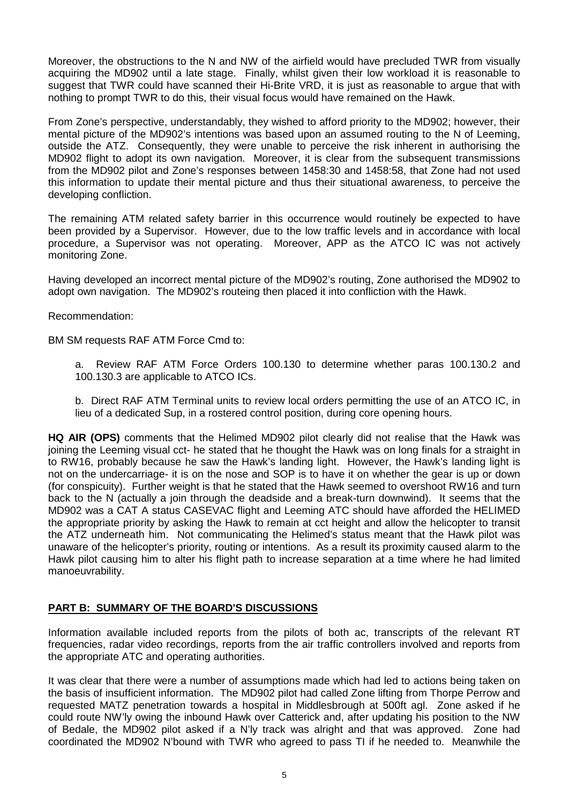Moreover, the obstructions to the N and NW of the airfield would have precluded TWR from visually acquiring the MD902 until a late stage. Finally, whilst given their low workload it is reasonable to suggest that TWR could have scanned their Hi-Brite VRD, it is just as reasonable to argue that with nothing to prompt TWR to do this, their visual focus would have remained on the Hawk.

From Zone's perspective, understandably, they wished to afford priority to the MD902; however, their mental picture of the MD902's intentions was based upon an assumed routing to the N of Leeming, outside the ATZ. Consequently, they were unable to perceive the risk inherent in authorising the MD902 flight to adopt its own navigation. Moreover, it is clear from the subsequent transmissions from the MD902 pilot and Zone's responses between 1458:30 and 1458:58, that Zone had not used this information to update their mental picture and thus their situational awareness, to perceive the developing confliction.

The remaining ATM related safety barrier in this occurrence would routinely be expected to have been provided by a Supervisor. However, due to the low traffic levels and in accordance with local procedure, a Supervisor was not operating. Moreover, APP as the ATCO IC was not actively monitoring Zone.

Having developed an incorrect mental picture of the MD902's routing, Zone authorised the MD902 to adopt own navigation. The MD902's routeing then placed it into confliction with the Hawk.

Recommendation:

BM SM requests RAF ATM Force Cmd to:

a. Review RAF ATM Force Orders 100.130 to determine whether paras 100.130.2 and 100.130.3 are applicable to ATCO ICs.

b. Direct RAF ATM Terminal units to review local orders permitting the use of an ATCO IC, in lieu of a dedicated Sup, in a rostered control position, during core opening hours.

**HQ AIR (OPS)** comments that the Helimed MD902 pilot clearly did not realise that the Hawk was joining the Leeming visual cct- he stated that he thought the Hawk was on long finals for a straight in to RW16, probably because he saw the Hawk's landing light. However, the Hawk's landing light is not on the undercarriage- it is on the nose and SOP is to have it on whether the gear is up or down (for conspicuity). Further weight is that he stated that the Hawk seemed to overshoot RW16 and turn back to the N (actually a join through the deadside and a break-turn downwind). It seems that the MD902 was a CAT A status CASEVAC flight and Leeming ATC should have afforded the HELIMED the appropriate priority by asking the Hawk to remain at cct height and allow the helicopter to transit the ATZ underneath him. Not communicating the Helimed's status meant that the Hawk pilot was unaware of the helicopter's priority, routing or intentions. As a result its proximity caused alarm to the Hawk pilot causing him to alter his flight path to increase separation at a time where he had limited manoeuvrability.

## **PART B: SUMMARY OF THE BOARD'S DISCUSSIONS**

Information available included reports from the pilots of both ac, transcripts of the relevant RT frequencies, radar video recordings, reports from the air traffic controllers involved and reports from the appropriate ATC and operating authorities.

It was clear that there were a number of assumptions made which had led to actions being taken on the basis of insufficient information. The MD902 pilot had called Zone lifting from Thorpe Perrow and requested MATZ penetration towards a hospital in Middlesbrough at 500ft agl. Zone asked if he could route NW'ly owing the inbound Hawk over Catterick and, after updating his position to the NW of Bedale, the MD902 pilot asked if a N'ly track was alright and that was approved. Zone had coordinated the MD902 N'bound with TWR who agreed to pass TI if he needed to. Meanwhile the